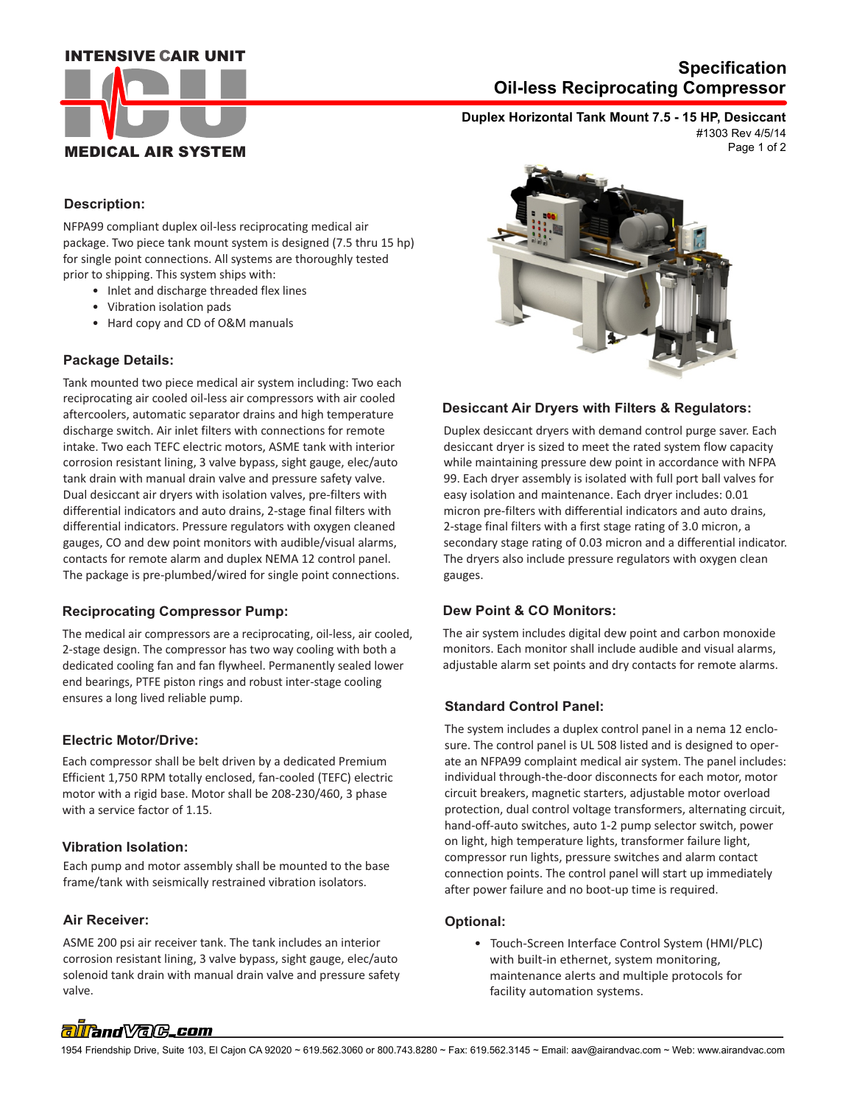#### **INTENSIVE CAIR UNIT**



## **Oil-less Reciprocating Compressor Specification**

**Duplex Horizontal Tank Mount 7.5 - 15 HP, Desiccant** #1303 Rev 4/5/14

Page 1 of 2

#### **Description:**

NFPA99 compliant duplex oil-less reciprocating medical air package. Two piece tank mount system is designed (7.5 thru 15 hp) for single point connections. All systems are thoroughly tested prior to shipping. This system ships with:

- Inlet and discharge threaded flex lines
- Vibration isolation pads
- Hard copy and CD of O&M manuals

#### **Package Details:**

Tank mounted two piece medical air system including: Two each reciprocating air cooled oil-less air compressors with air cooled aftercoolers, automatic separator drains and high temperature discharge switch. Air inlet filters with connections for remote intake. Two each TEFC electric motors, ASME tank with interior corrosion resistant lining, 3 valve bypass, sight gauge, elec/auto tank drain with manual drain valve and pressure safety valve. Dual desiccant air dryers with isolation valves, pre-filters with differential indicators and auto drains, 2-stage final filters with differential indicators. Pressure regulators with oxygen cleaned gauges, CO and dew point monitors with audible/visual alarms, contacts for remote alarm and duplex NEMA 12 control panel. The package is pre-plumbed/wired for single point connections.

#### **Reciprocating Compressor Pump:**

The medical air compressors are a reciprocating, oil-less, air cooled, 2-stage design. The compressor has two way cooling with both a dedicated cooling fan and fan flywheel. Permanently sealed lower end bearings, PTFE piston rings and robust inter-stage cooling ensures a long lived reliable pump.

#### **Electric Motor/Drive:**

Each compressor shall be belt driven by a dedicated Premium Efficient 1,750 RPM totally enclosed, fan-cooled (TEFC) electric motor with a rigid base. Motor shall be 208-230/460, 3 phase with a service factor of 1.15.

#### **Vibration Isolation:**

Each pump and motor assembly shall be mounted to the base frame/tank with seismically restrained vibration isolators.

#### **Air Receiver:**

ASME 200 psi air receiver tank. The tank includes an interior corrosion resistant lining, 3 valve bypass, sight gauge, elec/auto solenoid tank drain with manual drain valve and pressure safety valve.



#### **Desiccant Air Dryers with Filters & Regulators:**

Duplex desiccant dryers with demand control purge saver. Each desiccant dryer is sized to meet the rated system flow capacity while maintaining pressure dew point in accordance with NFPA 99. Each dryer assembly is isolated with full port ball valves for easy isolation and maintenance. Each dryer includes: 0.01 micron pre-filters with differential indicators and auto drains, 2-stage final filters with a first stage rating of 3.0 micron, a secondary stage rating of 0.03 micron and a differential indicator. The dryers also include pressure regulators with oxygen clean gauges.

#### **Dew Point & CO Monitors:**

The air system includes digital dew point and carbon monoxide monitors. Each monitor shall include audible and visual alarms, adjustable alarm set points and dry contacts for remote alarms.

#### **Standard Control Panel:**

The system includes a duplex control panel in a nema 12 enclosure. The control panel is UL 508 listed and is designed to operate an NFPA99 complaint medical air system. The panel includes: individual through-the-door disconnects for each motor, motor circuit breakers, magnetic starters, adjustable motor overload protection, dual control voltage transformers, alternating circuit, hand-off-auto switches, auto 1-2 pump selector switch, power on light, high temperature lights, transformer failure light, compressor run lights, pressure switches and alarm contact connection points. The control panel will start up immediately after power failure and no boot-up time is required.

#### **Optional:**

 • Touch-Screen Interface Control System (HMI/PLC) with built-in ethernet, system monitoring, maintenance alerts and multiple protocols for facility automation systems.

# alland VaC.com

1954 Friendship Drive, Suite 103, El Cajon CA 92020 ~ 619.562.3060 or 800.743.8280 ~ Fax: 619.562.3145 ~ Email: aav@airandvac.com ~ Web: www.airandvac.com